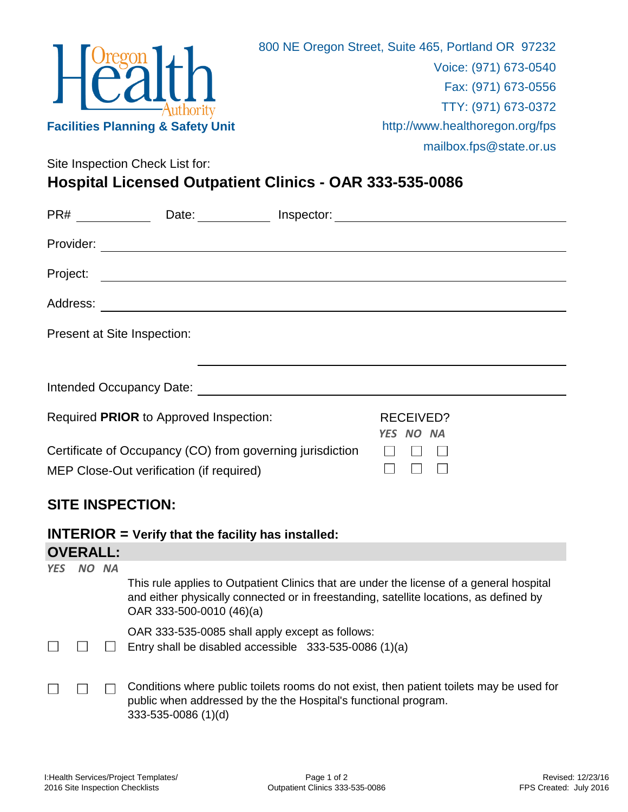

Site Inspection Check List for:

## **Hospital Licensed Outpatient Clinics - OAR 333-535-0086**

| PR#       | Date:                                                                                                                                                                                                                          | Inspector: |                               |
|-----------|--------------------------------------------------------------------------------------------------------------------------------------------------------------------------------------------------------------------------------|------------|-------------------------------|
| Provider: |                                                                                                                                                                                                                                |            |                               |
| Project:  |                                                                                                                                                                                                                                |            |                               |
| Address:  | <u> 1989 - Johann Harry Harry Harry Harry Harry Harry Harry Harry Harry Harry Harry Harry Harry Harry Harry Harry</u>                                                                                                          |            |                               |
|           | Present at Site Inspection:                                                                                                                                                                                                    |            |                               |
|           | Intended Occupancy Date: Notelland Controller and the control of the control of the control of the control of the control of the control of the control of the control of the control of the control of the control of the con |            |                               |
|           | Required PRIOR to Approved Inspection:                                                                                                                                                                                         |            | <b>RECEIVED?</b><br>YES NO NA |
|           | Certificate of Occupancy (CO) from governing jurisdiction<br>MEP Close-Out verification (if required)                                                                                                                          |            |                               |

## **SITE INSPECTION:**

| <b>INTERIOR</b> = Verify that the facility has installed: |
|-----------------------------------------------------------|
|-----------------------------------------------------------|

## **OVERALL:**

| <b>YES</b> | <b>NA</b> |                                                                                                                                                                                                                |
|------------|-----------|----------------------------------------------------------------------------------------------------------------------------------------------------------------------------------------------------------------|
|            |           | This rule applies to Outpatient Clinics that are under the license of a general hospital<br>and either physically connected or in freestanding, satellite locations, as defined by<br>OAR 333-500-0010 (46)(a) |
|            |           | OAR 333-535-0085 shall apply except as follows:                                                                                                                                                                |
|            |           | Entry shall be disabled accessible $333-535-0086(1)(a)$                                                                                                                                                        |
|            |           | Conditions where public toilets rooms do not exist, then patient toilets may be used for                                                                                                                       |
|            |           | public when addressed by the the Hospital's functional program.<br>333-535-0086 (1)(d)                                                                                                                         |